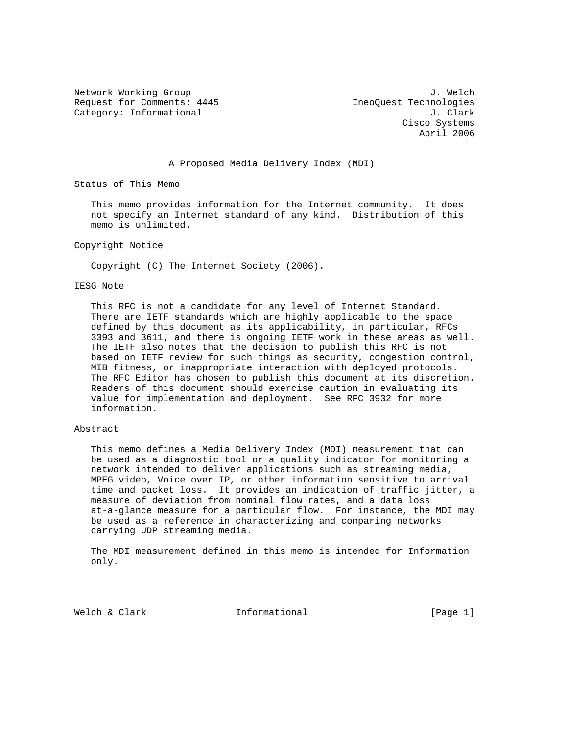Request for Comments: 4445 IneoQuest Technologies Category: Informational and J. Clark

Network Working Group 3. Welch 3. Welch 3. Welch 3. Welch 3. Welch 3. Welch 3. Welch 3. Welch 3. Welch 3. Welch Cisco Systems April 2006

### A Proposed Media Delivery Index (MDI)

Status of This Memo

 This memo provides information for the Internet community. It does not specify an Internet standard of any kind. Distribution of this memo is unlimited.

Copyright Notice

Copyright (C) The Internet Society (2006).

#### IESG Note

 This RFC is not a candidate for any level of Internet Standard. There are IETF standards which are highly applicable to the space defined by this document as its applicability, in particular, RFCs 3393 and 3611, and there is ongoing IETF work in these areas as well. The IETF also notes that the decision to publish this RFC is not based on IETF review for such things as security, congestion control, MIB fitness, or inappropriate interaction with deployed protocols. The RFC Editor has chosen to publish this document at its discretion. Readers of this document should exercise caution in evaluating its value for implementation and deployment. See RFC 3932 for more information.

#### Abstract

 This memo defines a Media Delivery Index (MDI) measurement that can be used as a diagnostic tool or a quality indicator for monitoring a network intended to deliver applications such as streaming media, MPEG video, Voice over IP, or other information sensitive to arrival time and packet loss. It provides an indication of traffic jitter, a measure of deviation from nominal flow rates, and a data loss at-a-glance measure for a particular flow. For instance, the MDI may be used as a reference in characterizing and comparing networks carrying UDP streaming media.

 The MDI measurement defined in this memo is intended for Information only.

Welch & Clark **Informational** [Page 1]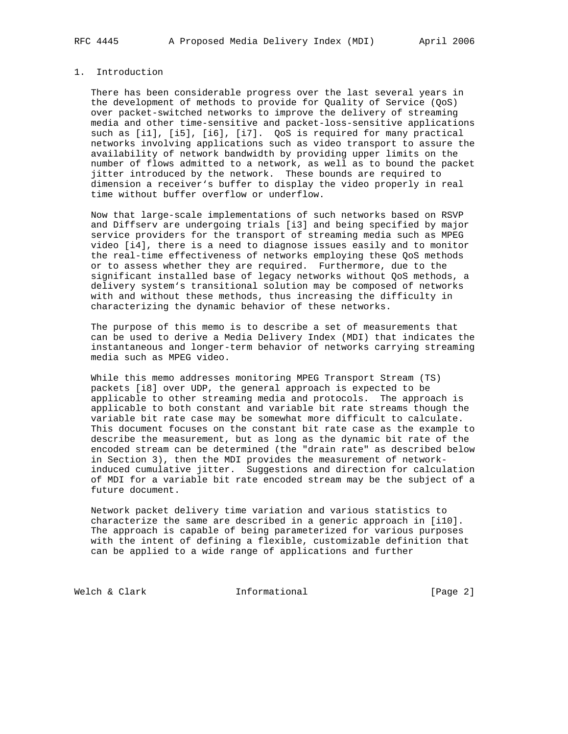1. Introduction

 There has been considerable progress over the last several years in the development of methods to provide for Quality of Service (QoS) over packet-switched networks to improve the delivery of streaming media and other time-sensitive and packet-loss-sensitive applications such as [i1], [i5], [i6], [i7]. QoS is required for many practical networks involving applications such as video transport to assure the availability of network bandwidth by providing upper limits on the number of flows admitted to a network, as well as to bound the packet jitter introduced by the network. These bounds are required to dimension a receiver's buffer to display the video properly in real time without buffer overflow or underflow.

 Now that large-scale implementations of such networks based on RSVP and Diffserv are undergoing trials [i3] and being specified by major service providers for the transport of streaming media such as MPEG video [i4], there is a need to diagnose issues easily and to monitor the real-time effectiveness of networks employing these QoS methods or to assess whether they are required. Furthermore, due to the significant installed base of legacy networks without QoS methods, a delivery system's transitional solution may be composed of networks with and without these methods, thus increasing the difficulty in characterizing the dynamic behavior of these networks.

 The purpose of this memo is to describe a set of measurements that can be used to derive a Media Delivery Index (MDI) that indicates the instantaneous and longer-term behavior of networks carrying streaming media such as MPEG video.

 While this memo addresses monitoring MPEG Transport Stream (TS) packets [i8] over UDP, the general approach is expected to be applicable to other streaming media and protocols. The approach is applicable to both constant and variable bit rate streams though the variable bit rate case may be somewhat more difficult to calculate. This document focuses on the constant bit rate case as the example to describe the measurement, but as long as the dynamic bit rate of the encoded stream can be determined (the "drain rate" as described below in Section 3), then the MDI provides the measurement of network induced cumulative jitter. Suggestions and direction for calculation of MDI for a variable bit rate encoded stream may be the subject of a future document.

 Network packet delivery time variation and various statistics to characterize the same are described in a generic approach in [i10]. The approach is capable of being parameterized for various purposes with the intent of defining a flexible, customizable definition that can be applied to a wide range of applications and further

Welch & Clark **Informational** [Page 2]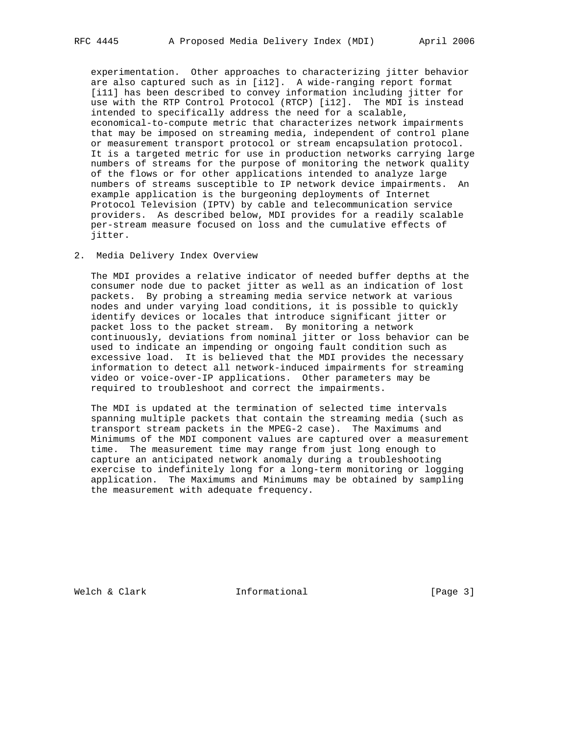experimentation. Other approaches to characterizing jitter behavior are also captured such as in [i12]. A wide-ranging report format [i11] has been described to convey information including jitter for use with the RTP Control Protocol (RTCP) [i12]. The MDI is instead intended to specifically address the need for a scalable, economical-to-compute metric that characterizes network impairments that may be imposed on streaming media, independent of control plane or measurement transport protocol or stream encapsulation protocol. It is a targeted metric for use in production networks carrying large numbers of streams for the purpose of monitoring the network quality of the flows or for other applications intended to analyze large numbers of streams susceptible to IP network device impairments. An example application is the burgeoning deployments of Internet Protocol Television (IPTV) by cable and telecommunication service providers. As described below, MDI provides for a readily scalable per-stream measure focused on loss and the cumulative effects of jitter.

## 2. Media Delivery Index Overview

 The MDI provides a relative indicator of needed buffer depths at the consumer node due to packet jitter as well as an indication of lost packets. By probing a streaming media service network at various nodes and under varying load conditions, it is possible to quickly identify devices or locales that introduce significant jitter or packet loss to the packet stream. By monitoring a network continuously, deviations from nominal jitter or loss behavior can be used to indicate an impending or ongoing fault condition such as excessive load. It is believed that the MDI provides the necessary information to detect all network-induced impairments for streaming video or voice-over-IP applications. Other parameters may be required to troubleshoot and correct the impairments.

 The MDI is updated at the termination of selected time intervals spanning multiple packets that contain the streaming media (such as transport stream packets in the MPEG-2 case). The Maximums and Minimums of the MDI component values are captured over a measurement time. The measurement time may range from just long enough to capture an anticipated network anomaly during a troubleshooting exercise to indefinitely long for a long-term monitoring or logging application. The Maximums and Minimums may be obtained by sampling the measurement with adequate frequency.

Welch & Clark **Informational** [Page 3]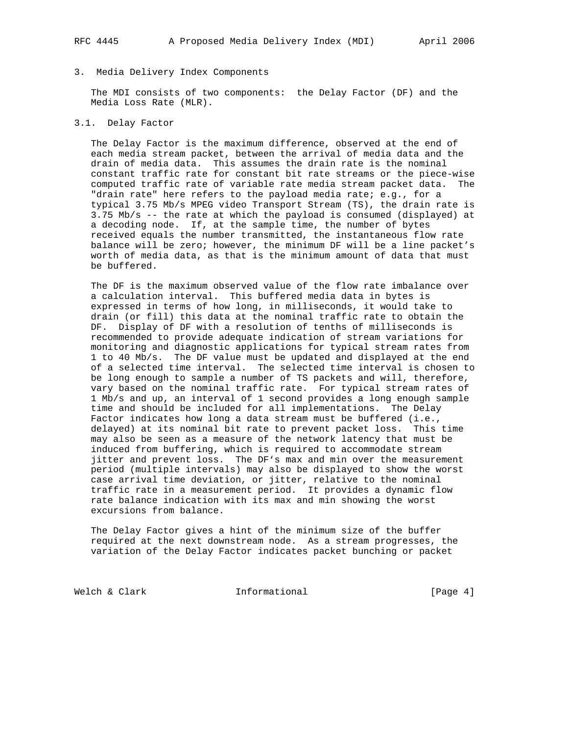## 3. Media Delivery Index Components

 The MDI consists of two components: the Delay Factor (DF) and the Media Loss Rate (MLR).

#### 3.1. Delay Factor

 The Delay Factor is the maximum difference, observed at the end of each media stream packet, between the arrival of media data and the drain of media data. This assumes the drain rate is the nominal constant traffic rate for constant bit rate streams or the piece-wise computed traffic rate of variable rate media stream packet data. The "drain rate" here refers to the payload media rate; e.g., for a typical 3.75 Mb/s MPEG video Transport Stream (TS), the drain rate is 3.75 Mb/s -- the rate at which the payload is consumed (displayed) at a decoding node. If, at the sample time, the number of bytes received equals the number transmitted, the instantaneous flow rate balance will be zero; however, the minimum DF will be a line packet's worth of media data, as that is the minimum amount of data that must be buffered.

 The DF is the maximum observed value of the flow rate imbalance over a calculation interval. This buffered media data in bytes is expressed in terms of how long, in milliseconds, it would take to drain (or fill) this data at the nominal traffic rate to obtain the DF. Display of DF with a resolution of tenths of milliseconds is recommended to provide adequate indication of stream variations for monitoring and diagnostic applications for typical stream rates from 1 to 40 Mb/s. The DF value must be updated and displayed at the end of a selected time interval. The selected time interval is chosen to be long enough to sample a number of TS packets and will, therefore, vary based on the nominal traffic rate. For typical stream rates of 1 Mb/s and up, an interval of 1 second provides a long enough sample time and should be included for all implementations. The Delay Factor indicates how long a data stream must be buffered (i.e., delayed) at its nominal bit rate to prevent packet loss. This time may also be seen as a measure of the network latency that must be induced from buffering, which is required to accommodate stream jitter and prevent loss. The DF's max and min over the measurement period (multiple intervals) may also be displayed to show the worst case arrival time deviation, or jitter, relative to the nominal traffic rate in a measurement period. It provides a dynamic flow rate balance indication with its max and min showing the worst excursions from balance.

 The Delay Factor gives a hint of the minimum size of the buffer required at the next downstream node. As a stream progresses, the variation of the Delay Factor indicates packet bunching or packet

Welch & Clark **Informational** [Page 4]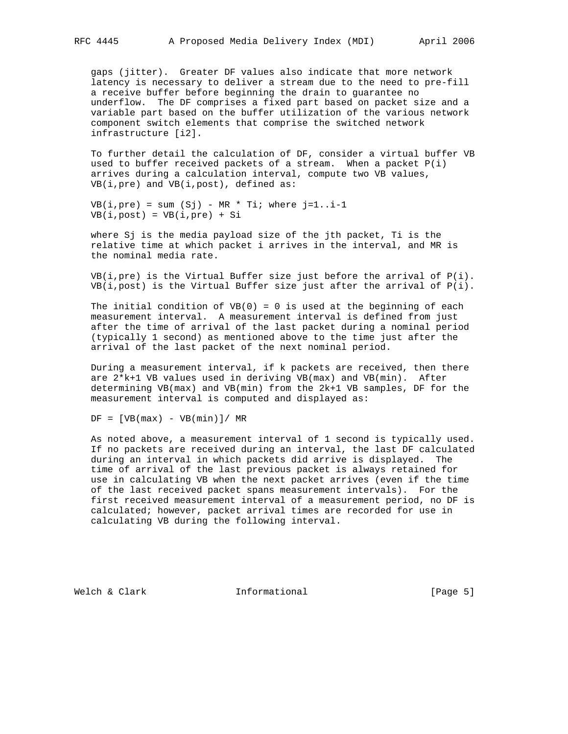gaps (jitter). Greater DF values also indicate that more network latency is necessary to deliver a stream due to the need to pre-fill a receive buffer before beginning the drain to guarantee no underflow. The DF comprises a fixed part based on packet size and a variable part based on the buffer utilization of the various network component switch elements that comprise the switched network infrastructure [i2].

 To further detail the calculation of DF, consider a virtual buffer VB used to buffer received packets of a stream. When a packet  $P(i)$  arrives during a calculation interval, compute two VB values, VB(i,pre) and VB(i,post), defined as:

 $VB(i, pre) = sum (Sj) - MR * Ti; where j=1..i-1$  $VB(i, post) = VB(i, pre) + Si$ 

 where Sj is the media payload size of the jth packet, Ti is the relative time at which packet i arrives in the interval, and MR is the nominal media rate.

 $VB(i,pre)$  is the Virtual Buffer size just before the arrival of  $P(i)$ . VB(i,post) is the Virtual Buffer size just after the arrival of P(i).

The initial condition of  $VB(0) = 0$  is used at the beginning of each measurement interval. A measurement interval is defined from just after the time of arrival of the last packet during a nominal period (typically 1 second) as mentioned above to the time just after the arrival of the last packet of the next nominal period.

 During a measurement interval, if k packets are received, then there are 2\*k+1 VB values used in deriving VB(max) and VB(min). After determining VB(max) and VB(min) from the 2k+1 VB samples, DF for the measurement interval is computed and displayed as:

 $DF = [VB(max) - VB(min)] / MR$ 

 As noted above, a measurement interval of 1 second is typically used. If no packets are received during an interval, the last DF calculated during an interval in which packets did arrive is displayed. The time of arrival of the last previous packet is always retained for use in calculating VB when the next packet arrives (even if the time of the last received packet spans measurement intervals). For the first received measurement interval of a measurement period, no DF is calculated; however, packet arrival times are recorded for use in calculating VB during the following interval.

Welch & Clark **Informational Informational** [Page 5]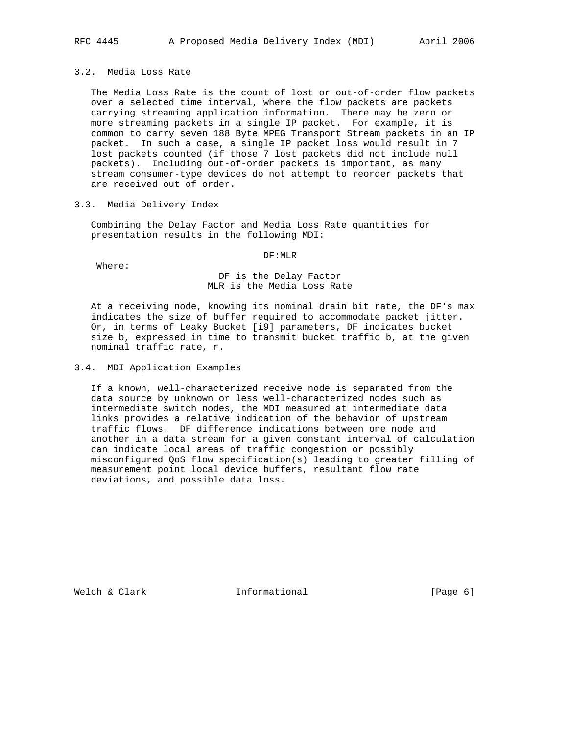## 3.2. Media Loss Rate

 The Media Loss Rate is the count of lost or out-of-order flow packets over a selected time interval, where the flow packets are packets carrying streaming application information. There may be zero or more streaming packets in a single IP packet. For example, it is common to carry seven 188 Byte MPEG Transport Stream packets in an IP packet. In such a case, a single IP packet loss would result in 7 lost packets counted (if those 7 lost packets did not include null packets). Including out-of-order packets is important, as many stream consumer-type devices do not attempt to reorder packets that are received out of order.

## 3.3. Media Delivery Index

 Combining the Delay Factor and Media Loss Rate quantities for presentation results in the following MDI:

DF:MLR

Where:

# DF is the Delay Factor MLR is the Media Loss Rate

 At a receiving node, knowing its nominal drain bit rate, the DF's max indicates the size of buffer required to accommodate packet jitter. Or, in terms of Leaky Bucket [i9] parameters, DF indicates bucket size b, expressed in time to transmit bucket traffic b, at the given nominal traffic rate, r.

## 3.4. MDI Application Examples

 If a known, well-characterized receive node is separated from the data source by unknown or less well-characterized nodes such as intermediate switch nodes, the MDI measured at intermediate data links provides a relative indication of the behavior of upstream traffic flows. DF difference indications between one node and another in a data stream for a given constant interval of calculation can indicate local areas of traffic congestion or possibly misconfigured QoS flow specification(s) leading to greater filling of measurement point local device buffers, resultant flow rate deviations, and possible data loss.

Welch & Clark **Informational** [Page 6]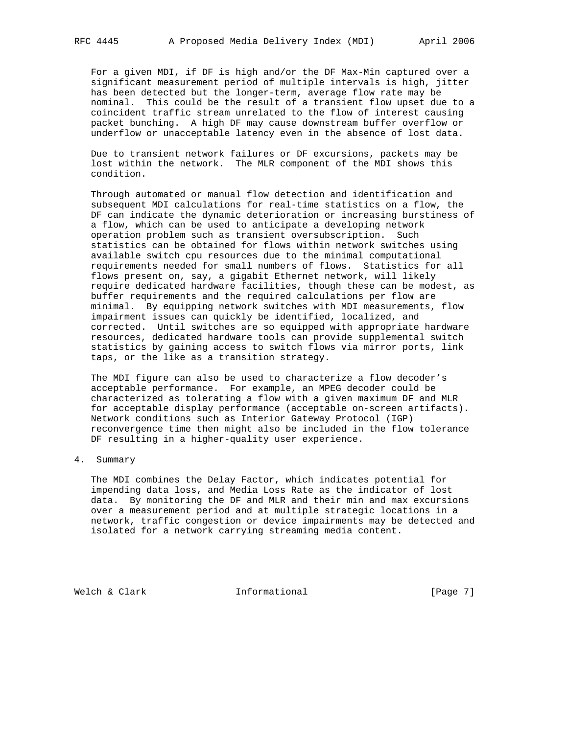For a given MDI, if DF is high and/or the DF Max-Min captured over a significant measurement period of multiple intervals is high, jitter has been detected but the longer-term, average flow rate may be nominal. This could be the result of a transient flow upset due to a coincident traffic stream unrelated to the flow of interest causing packet bunching. A high DF may cause downstream buffer overflow or underflow or unacceptable latency even in the absence of lost data.

 Due to transient network failures or DF excursions, packets may be lost within the network. The MLR component of the MDI shows this condition.

 Through automated or manual flow detection and identification and subsequent MDI calculations for real-time statistics on a flow, the DF can indicate the dynamic deterioration or increasing burstiness of a flow, which can be used to anticipate a developing network operation problem such as transient oversubscription. Such statistics can be obtained for flows within network switches using available switch cpu resources due to the minimal computational requirements needed for small numbers of flows. Statistics for all flows present on, say, a gigabit Ethernet network, will likely require dedicated hardware facilities, though these can be modest, as buffer requirements and the required calculations per flow are minimal. By equipping network switches with MDI measurements, flow impairment issues can quickly be identified, localized, and corrected. Until switches are so equipped with appropriate hardware resources, dedicated hardware tools can provide supplemental switch statistics by gaining access to switch flows via mirror ports, link taps, or the like as a transition strategy.

 The MDI figure can also be used to characterize a flow decoder's acceptable performance. For example, an MPEG decoder could be characterized as tolerating a flow with a given maximum DF and MLR for acceptable display performance (acceptable on-screen artifacts). Network conditions such as Interior Gateway Protocol (IGP) reconvergence time then might also be included in the flow tolerance DF resulting in a higher-quality user experience.

4. Summary

 The MDI combines the Delay Factor, which indicates potential for impending data loss, and Media Loss Rate as the indicator of lost data. By monitoring the DF and MLR and their min and max excursions over a measurement period and at multiple strategic locations in a network, traffic congestion or device impairments may be detected and isolated for a network carrying streaming media content.

Welch & Clark **Informational** [Page 7]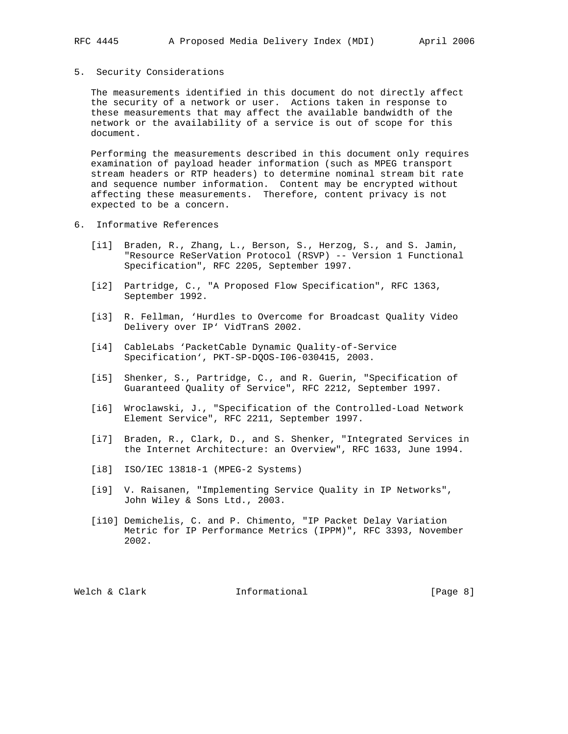#### 5. Security Considerations

 The measurements identified in this document do not directly affect the security of a network or user. Actions taken in response to these measurements that may affect the available bandwidth of the network or the availability of a service is out of scope for this document.

 Performing the measurements described in this document only requires examination of payload header information (such as MPEG transport stream headers or RTP headers) to determine nominal stream bit rate and sequence number information. Content may be encrypted without affecting these measurements. Therefore, content privacy is not expected to be a concern.

- 6. Informative References
	- [i1] Braden, R., Zhang, L., Berson, S., Herzog, S., and S. Jamin, "Resource ReSerVation Protocol (RSVP) -- Version 1 Functional Specification", RFC 2205, September 1997.
	- [i2] Partridge, C., "A Proposed Flow Specification", RFC 1363, September 1992.
	- [i3] R. Fellman, 'Hurdles to Overcome for Broadcast Quality Video Delivery over IP' VidTranS 2002.
	- [i4] CableLabs 'PacketCable Dynamic Quality-of-Service Specification', PKT-SP-DQOS-I06-030415, 2003.
	- [i5] Shenker, S., Partridge, C., and R. Guerin, "Specification of Guaranteed Quality of Service", RFC 2212, September 1997.
	- [i6] Wroclawski, J., "Specification of the Controlled-Load Network Element Service", RFC 2211, September 1997.
	- [i7] Braden, R., Clark, D., and S. Shenker, "Integrated Services in the Internet Architecture: an Overview", RFC 1633, June 1994.
	- [i8] ISO/IEC 13818-1 (MPEG-2 Systems)
	- [i9] V. Raisanen, "Implementing Service Quality in IP Networks", John Wiley & Sons Ltd., 2003.
	- [i10] Demichelis, C. and P. Chimento, "IP Packet Delay Variation Metric for IP Performance Metrics (IPPM)", RFC 3393, November 2002.

Welch & Clark **Informational Informational** [Page 8]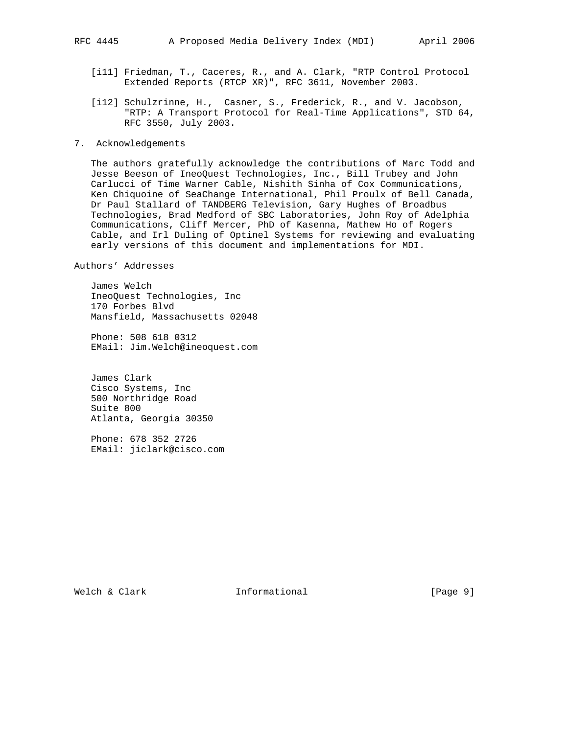- [i11] Friedman, T., Caceres, R., and A. Clark, "RTP Control Protocol Extended Reports (RTCP XR)", RFC 3611, November 2003.
- [i12] Schulzrinne, H., Casner, S., Frederick, R., and V. Jacobson, "RTP: A Transport Protocol for Real-Time Applications", STD 64, RFC 3550, July 2003.
- 7. Acknowledgements

 The authors gratefully acknowledge the contributions of Marc Todd and Jesse Beeson of IneoQuest Technologies, Inc., Bill Trubey and John Carlucci of Time Warner Cable, Nishith Sinha of Cox Communications, Ken Chiquoine of SeaChange International, Phil Proulx of Bell Canada, Dr Paul Stallard of TANDBERG Television, Gary Hughes of Broadbus Technologies, Brad Medford of SBC Laboratories, John Roy of Adelphia Communications, Cliff Mercer, PhD of Kasenna, Mathew Ho of Rogers Cable, and Irl Duling of Optinel Systems for reviewing and evaluating early versions of this document and implementations for MDI.

Authors' Addresses

 James Welch IneoQuest Technologies, Inc 170 Forbes Blvd Mansfield, Massachusetts 02048

 Phone: 508 618 0312 EMail: Jim.Welch@ineoquest.com

 James Clark Cisco Systems, Inc 500 Northridge Road Suite 800 Atlanta, Georgia 30350

 Phone: 678 352 2726 EMail: jiclark@cisco.com

Welch & Clark **Informational** [Page 9]